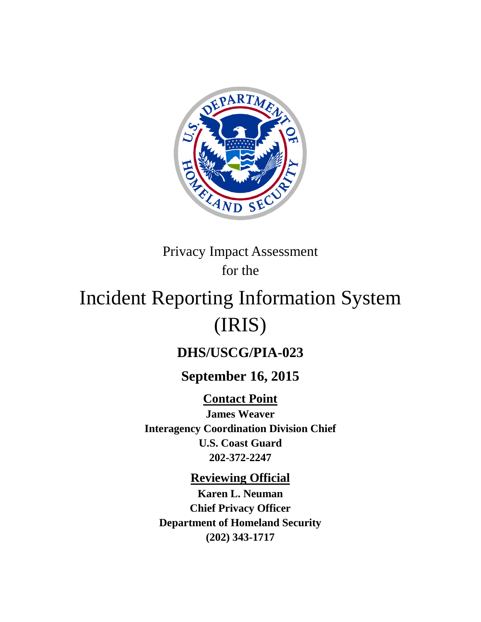

Privacy Impact Assessment for the

# Incident Reporting Information System (IRIS)

# **DHS/USCG/PIA-023**

# **September 16, 2015**

**Contact Point James Weaver Interagency Coordination Division Chief U.S. Coast Guard 202-372-2247**

**Reviewing Official**

**Karen L. Neuman Chief Privacy Officer Department of Homeland Security (202) 343-1717**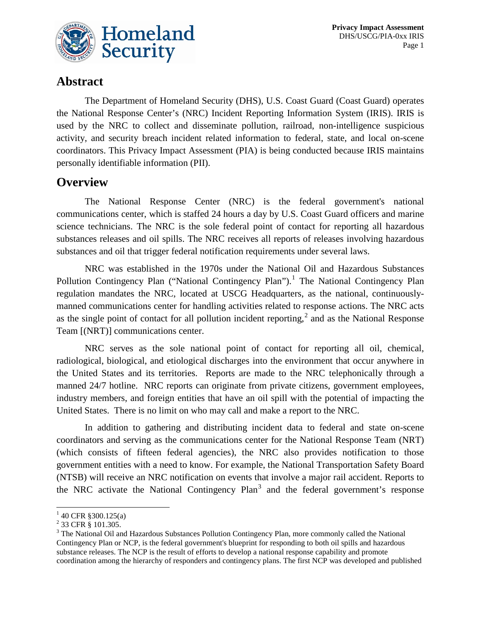

#### **Abstract**

The Department of Homeland Security (DHS), U.S. Coast Guard (Coast Guard) operates the National Response Center's (NRC) Incident Reporting Information System (IRIS). IRIS is used by the NRC to collect and disseminate pollution, railroad, non-intelligence suspicious activity, and security breach incident related information to federal, state, and local on-scene coordinators. This Privacy Impact Assessment (PIA) is being conducted because IRIS maintains personally identifiable information (PII).

#### **Overview**

The National Response Center (NRC) is the federal government's national communications center, which is staffed 24 hours a day by U.S. Coast Guard officers and marine science technicians. The NRC is the sole federal point of contact for reporting all hazardous substances releases and oil spills. The NRC receives all reports of releases involving hazardous substances and oil that trigger federal notification requirements under several laws.

NRC was established in the 1970s under the National Oil and Hazardous Substances Pollution Contingency Plan ("National Contingency Plan").<sup>[1](#page-1-0)</sup> The National Contingency Plan regulation mandates the NRC, located at USCG Headquarters, as the national, continuouslymanned communications center for handling activities related to response actions. The NRC acts as the single point of contact for all pollution incident reporting,<sup>[2](#page-1-1)</sup> and as the National Response Team [(NRT)] communications center.

NRC serves as the sole national point of contact for reporting all oil, chemical, radiological, biological, and etiological discharges into the environment that occur anywhere in the United States and its territories. Reports are made to the NRC telephonically through a manned 24/7 hotline. NRC reports can originate from private citizens, government employees, industry members, and foreign entities that have an oil spill with the potential of impacting the United States. There is no limit on who may call and make a report to the NRC.

In addition to gathering and distributing incident data to federal and state on-scene coordinators and serving as the communications center for the National Response Team (NRT) (which consists of fifteen federal agencies), the NRC also provides notification to those government entities with a need to know. For example, the National Transportation Safety Board (NTSB) will receive an NRC notification on events that involve a major rail accident. Reports to the NRC activate the National Contingency Plan<sup>[3](#page-1-2)</sup> and the federal government's response

 $\overline{a}$ 

 $1$  40 CFR §300.125(a)

<span id="page-1-2"></span><span id="page-1-1"></span><span id="page-1-0"></span><sup>&</sup>lt;sup>2</sup> 33 CFR § 101.305.<br><sup>3</sup> The National Oil and Hazardous Substances Pollution Contingency Plan, more commonly called the National Contingency Plan or NCP, is the federal government's blueprint for responding to both oil spills and hazardous substance releases. The NCP is the result of efforts to develop a national response capability and promote coordination among the hierarchy of responders and contingency plans. The first NCP was developed and published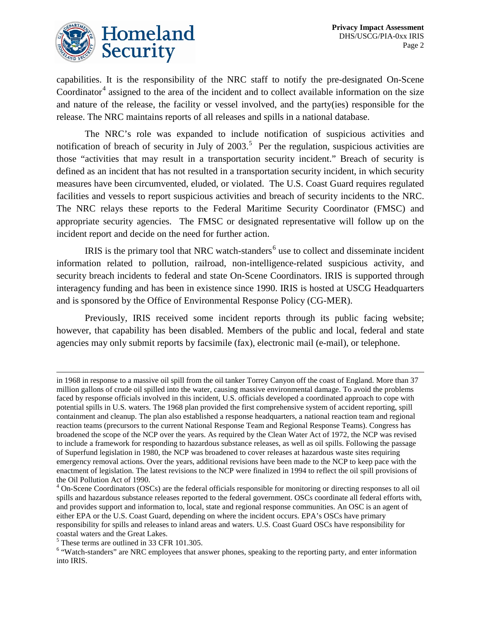

capabilities. It is the responsibility of the NRC staff to notify the pre-designated On-Scene Coordinator $4$  assigned to the area of the incident and to collect available information on the size and nature of the release, the facility or vessel involved, and the party(ies) responsible for the release. The NRC maintains reports of all releases and spills in a national database.

The NRC's role was expanded to include notification of suspicious activities and notification of breach of security in July of  $2003$ .<sup>[5](#page-2-1)</sup> Per the regulation, suspicious activities are those "activities that may result in a transportation security incident." Breach of security is defined as an incident that has not resulted in a transportation security incident, in which security measures have been circumvented, eluded, or violated. The U.S. Coast Guard requires regulated facilities and vessels to report suspicious activities and breach of security incidents to the NRC. The NRC relays these reports to the Federal Maritime Security Coordinator (FMSC) and appropriate security agencies. The FMSC or designated representative will follow up on the incident report and decide on the need for further action.

IRIS is the primary tool that NRC watch-standers<sup> $6$ </sup> use to collect and disseminate incident information related to pollution, railroad, non-intelligence-related suspicious activity, and security breach incidents to federal and state On-Scene Coordinators. IRIS is supported through interagency funding and has been in existence since 1990. IRIS is hosted at USCG Headquarters and is sponsored by the Office of Environmental Response Policy (CG-MER).

Previously, IRIS received some incident reports through its public facing website; however, that capability has been disabled. Members of the public and local, federal and state agencies may only submit reports by facsimile (fax), electronic mail (e-mail), or telephone.

 $\overline{a}$ 

in 1968 in response to a massive oil spill from the oil tanker Torrey Canyon off the coast of England. More than 37 million gallons of crude oil spilled into the water, causing massive environmental damage. To avoid the problems faced by response officials involved in this incident, U.S. officials developed a coordinated approach to cope with potential spills in U.S. waters. The 1968 plan provided the first comprehensive system of accident reporting, spill containment and cleanup. The plan also established a response headquarters, a national reaction team and regional reaction teams (precursors to the current National Response Team and Regional Response Teams). Congress has broadened the scope of the NCP over the years. As required by the Clean Water Act of 1972, the NCP was revised to include a framework for responding to hazardous substance releases, as well as oil spills. Following the passage of Superfund legislation in 1980, the NCP was broadened to cover releases at hazardous waste sites requiring emergency removal actions. Over the years, additional revisions have been made to the NCP to keep pace with the enactment of legislation. The latest revisions to the NCP were finalized in 1994 to reflect the oil spill provisions of the Oil Pollution Act of 1990.

<span id="page-2-0"></span><sup>&</sup>lt;sup>4</sup> On-Scene Coordinators (OSCs) are the federal officials responsible for monitoring or directing responses to all oil spills and hazardous substance releases reported to the federal government. OSCs coordinate all federal efforts with, and provides support and information to, local, state and regional response communities. An OSC is an agent of either EPA or the U.S. Coast Guard, depending on where the incident occurs. EPA's OSCs have primary responsibility for spills and releases to inland areas and waters. U.S. Coast Guard OSCs have responsibility for coastal waters and the Great Lakes.

<span id="page-2-1"></span><sup>5</sup> These terms are outlined in 33 CFR 101.305.

<span id="page-2-2"></span><sup>&</sup>lt;sup>6</sup> "Watch-standers" are NRC employees that answer phones, speaking to the reporting party, and enter information into IRIS.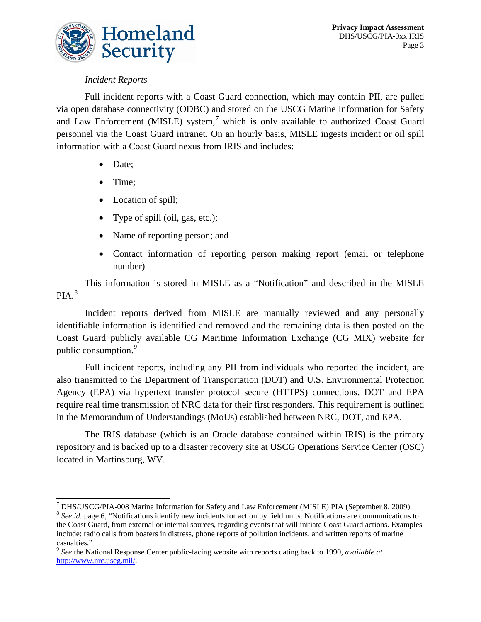

#### *Incident Reports*

Full incident reports with a Coast Guard connection, which may contain PII, are pulled via open database connectivity (ODBC) and stored on the USCG Marine Information for Safety and Law Enforcement (MISLE) system,<sup>[7](#page-3-0)</sup> which is only available to authorized Coast Guard personnel via the Coast Guard intranet. On an hourly basis, MISLE ingests incident or oil spill information with a Coast Guard nexus from IRIS and includes:

- Date;
- Time;

 $\overline{a}$ 

- Location of spill;
- Type of spill (oil, gas, etc.);
- Name of reporting person; and
- Contact information of reporting person making report (email or telephone number)

This information is stored in MISLE as a "Notification" and described in the MISLE  $PIA.<sup>8</sup>$  $PIA.<sup>8</sup>$  $PIA.<sup>8</sup>$ 

Incident reports derived from MISLE are manually reviewed and any personally identifiable information is identified and removed and the remaining data is then posted on the Coast Guard publicly available CG Maritime Information Exchange (CG MIX) website for public consumption.<sup>[9](#page-3-2)</sup>

Full incident reports, including any PII from individuals who reported the incident, are also transmitted to the Department of Transportation (DOT) and U.S. Environmental Protection Agency (EPA) via hypertext transfer protocol secure (HTTPS) connections. DOT and EPA require real time transmission of NRC data for their first responders. This requirement is outlined in the Memorandum of Understandings (MoUs) established between NRC, DOT, and EPA.

The IRIS database (which is an Oracle database contained within IRIS) is the primary repository and is backed up to a disaster recovery site at USCG Operations Service Center (OSC) located in Martinsburg, WV.

<span id="page-3-0"></span> $^7$  DHS/USCG/PIA-008 Marine Information for Safety and Law Enforcement (MISLE) PIA (September 8, 2009).<br><sup>8</sup> See id. page 6, "Notifications identify new incidents for action by field units. Notifications are communication

<span id="page-3-1"></span>the Coast Guard, from external or internal sources, regarding events that will initiate Coast Guard actions. Examples include: radio calls from boaters in distress, phone reports of pollution incidents, and written reports of marine

<span id="page-3-2"></span>casualties." <sup>9</sup> *See* the National Response Center public-facing website with reports dating back to 1990, *available at* [http://www.nrc.uscg.mil/.](http://www.nrc.uscg.mil/)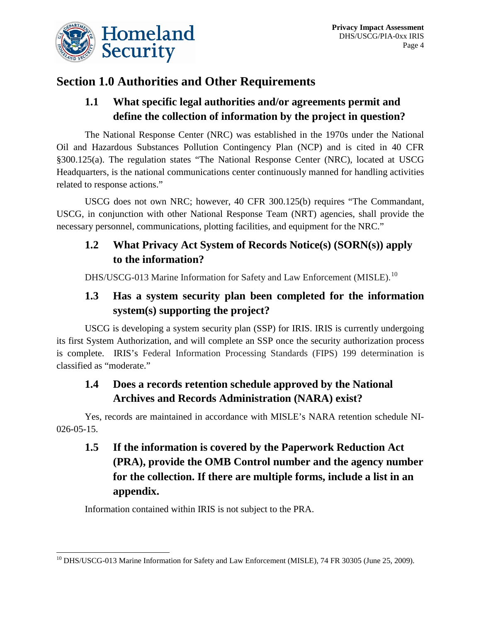

# **Section 1.0 Authorities and Other Requirements**

#### **1.1 What specific legal authorities and/or agreements permit and define the collection of information by the project in question?**

The National Response Center (NRC) was established in the 1970s under the National Oil and Hazardous Substances Pollution Contingency Plan (NCP) and is cited in 40 CFR §300.125(a). The regulation states "The National Response Center (NRC), located at USCG Headquarters, is the national communications center continuously manned for handling activities related to response actions."

USCG does not own NRC; however, 40 CFR 300.125(b) requires "The Commandant, USCG, in conjunction with other National Response Team (NRT) agencies, shall provide the necessary personnel, communications, plotting facilities, and equipment for the NRC."

#### **1.2 What Privacy Act System of Records Notice(s) (SORN(s)) apply to the information?**

DHS/USCG-013 Marine Information for Safety and Law Enforcement (MISLE).<sup>[10](#page-4-0)</sup>

#### **1.3 Has a system security plan been completed for the information system(s) supporting the project?**

USCG is developing a system security plan (SSP) for IRIS. IRIS is currently undergoing its first System Authorization, and will complete an SSP once the security authorization process is complete. IRIS's Federal Information Processing Standards (FIPS) 199 determination is classified as "moderate."

## **1.4 Does a records retention schedule approved by the National Archives and Records Administration (NARA) exist?**

Yes, records are maintained in accordance with MISLE's NARA retention schedule NI-026-05-15.

## **1.5 If the information is covered by the Paperwork Reduction Act (PRA), provide the OMB Control number and the agency number for the collection. If there are multiple forms, include a list in an appendix.**

Information contained within IRIS is not subject to the PRA.

<span id="page-4-0"></span><sup>&</sup>lt;sup>10</sup> DHS/USCG-013 Marine Information for Safety and Law Enforcement (MISLE), 74 FR 30305 (June 25, 2009).  $\overline{a}$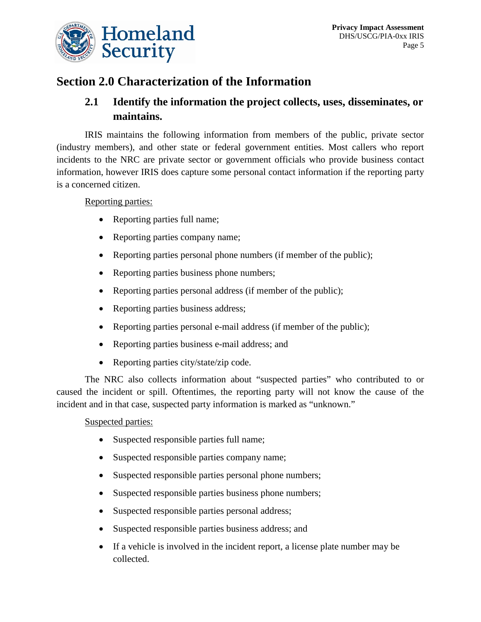

## **Section 2.0 Characterization of the Information**

#### **2.1 Identify the information the project collects, uses, disseminates, or maintains.**

IRIS maintains the following information from members of the public, private sector (industry members), and other state or federal government entities. Most callers who report incidents to the NRC are private sector or government officials who provide business contact information, however IRIS does capture some personal contact information if the reporting party is a concerned citizen.

#### Reporting parties:

- Reporting parties full name;
- Reporting parties company name;
- Reporting parties personal phone numbers (if member of the public);
- Reporting parties business phone numbers;
- Reporting parties personal address (if member of the public);
- Reporting parties business address;
- Reporting parties personal e-mail address (if member of the public);
- Reporting parties business e-mail address; and
- Reporting parties city/state/zip code.

The NRC also collects information about "suspected parties" who contributed to or caused the incident or spill. Oftentimes, the reporting party will not know the cause of the incident and in that case, suspected party information is marked as "unknown."

#### Suspected parties:

- Suspected responsible parties full name;
- Suspected responsible parties company name;
- Suspected responsible parties personal phone numbers;
- Suspected responsible parties business phone numbers;
- Suspected responsible parties personal address;
- Suspected responsible parties business address; and
- If a vehicle is involved in the incident report, a license plate number may be collected.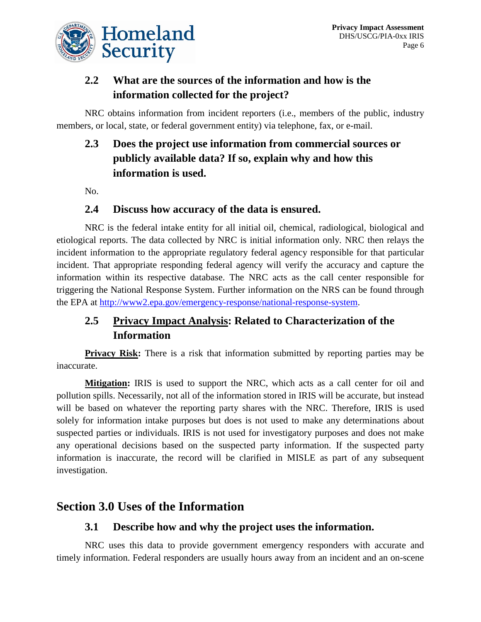

#### **2.2 What are the sources of the information and how is the information collected for the project?**

NRC obtains information from incident reporters (i.e., members of the public, industry members, or local, state, or federal government entity) via telephone, fax, or e-mail.

## **2.3 Does the project use information from commercial sources or publicly available data? If so, explain why and how this information is used.**

No.

#### **2.4 Discuss how accuracy of the data is ensured.**

NRC is the federal intake entity for all initial oil, chemical, radiological, biological and etiological reports. The data collected by NRC is initial information only. NRC then relays the incident information to the appropriate regulatory federal agency responsible for that particular incident. That appropriate responding federal agency will verify the accuracy and capture the information within its respective database. The NRC acts as the call center responsible for triggering the National Response System. Further information on the NRS can be found through the EPA at [http://www2.epa.gov/emergency-response/national-response-system.](http://www2.epa.gov/emergency-response/national-response-system)

#### **2.5 Privacy Impact Analysis: Related to Characterization of the Information**

**Privacy Risk:** There is a risk that information submitted by reporting parties may be inaccurate.

**Mitigation:** IRIS is used to support the NRC, which acts as a call center for oil and pollution spills. Necessarily, not all of the information stored in IRIS will be accurate, but instead will be based on whatever the reporting party shares with the NRC. Therefore, IRIS is used solely for information intake purposes but does is not used to make any determinations about suspected parties or individuals. IRIS is not used for investigatory purposes and does not make any operational decisions based on the suspected party information. If the suspected party information is inaccurate, the record will be clarified in MISLE as part of any subsequent investigation.

#### **Section 3.0 Uses of the Information**

#### **3.1 Describe how and why the project uses the information.**

NRC uses this data to provide government emergency responders with accurate and timely information. Federal responders are usually hours away from an incident and an on-scene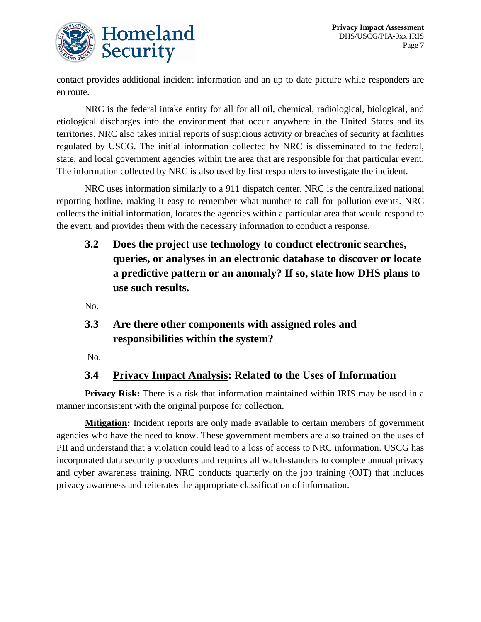

contact provides additional incident information and an up to date picture while responders are en route.

NRC is the federal intake entity for all for all oil, chemical, radiological, biological, and etiological discharges into the environment that occur anywhere in the United States and its territories. NRC also takes initial reports of suspicious activity or breaches of security at facilities regulated by USCG. The initial information collected by NRC is disseminated to the federal, state, and local government agencies within the area that are responsible for that particular event. The information collected by NRC is also used by first responders to investigate the incident.

NRC uses information similarly to a 911 dispatch center. NRC is the centralized national reporting hotline, making it easy to remember what number to call for pollution events. NRC collects the initial information, locates the agencies within a particular area that would respond to the event, and provides them with the necessary information to conduct a response.

**3.2 Does the project use technology to conduct electronic searches, queries, or analyses in an electronic database to discover or locate a predictive pattern or an anomaly? If so, state how DHS plans to use such results.**

No.

#### **3.3 Are there other components with assigned roles and responsibilities within the system?**

No.

#### **3.4 Privacy Impact Analysis: Related to the Uses of Information**

**Privacy Risk:** There is a risk that information maintained within IRIS may be used in a manner inconsistent with the original purpose for collection.

**Mitigation:** Incident reports are only made available to certain members of government agencies who have the need to know. These government members are also trained on the uses of PII and understand that a violation could lead to a loss of access to NRC information. USCG has incorporated data security procedures and requires all watch-standers to complete annual privacy and cyber awareness training. NRC conducts quarterly on the job training (OJT) that includes privacy awareness and reiterates the appropriate classification of information.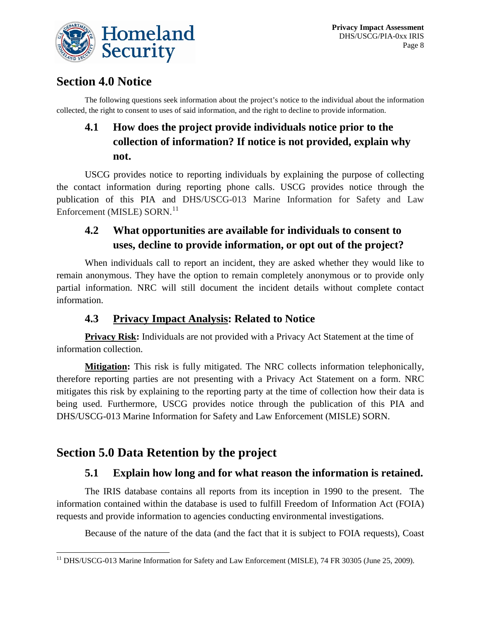

## **Section 4.0 Notice**

The following questions seek information about the project's notice to the individual about the information collected, the right to consent to uses of said information, and the right to decline to provide information.

# **4.1 How does the project provide individuals notice prior to the collection of information? If notice is not provided, explain why not.**

USCG provides notice to reporting individuals by explaining the purpose of collecting the contact information during reporting phone calls. USCG provides notice through the publication of this PIA and DHS/USCG-013 Marine Information for Safety and Law Enforcement (MISLE) SORN.<sup>[11](#page-8-0)</sup>

## **4.2 What opportunities are available for individuals to consent to uses, decline to provide information, or opt out of the project?**

When individuals call to report an incident, they are asked whether they would like to remain anonymous. They have the option to remain completely anonymous or to provide only partial information. NRC will still document the incident details without complete contact information.

#### **4.3 Privacy Impact Analysis: Related to Notice**

**Privacy Risk:** Individuals are not provided with a Privacy Act Statement at the time of information collection.

**Mitigation:** This risk is fully mitigated. The NRC collects information telephonically, therefore reporting parties are not presenting with a Privacy Act Statement on a form. NRC mitigates this risk by explaining to the reporting party at the time of collection how their data is being used. Furthermore, USCG provides notice through the publication of this PIA and DHS/USCG-013 Marine Information for Safety and Law Enforcement (MISLE) SORN.

# **Section 5.0 Data Retention by the project**

#### **5.1 Explain how long and for what reason the information is retained.**

The IRIS database contains all reports from its inception in 1990 to the present. The information contained within the database is used to fulfill Freedom of Information Act (FOIA) requests and provide information to agencies conducting environmental investigations.

Because of the nature of the data (and the fact that it is subject to FOIA requests), Coast

<span id="page-8-0"></span><sup>&</sup>lt;sup>11</sup> DHS/USCG-013 Marine Information for Safety and Law Enforcement (MISLE), 74 FR 30305 (June 25, 2009).  $\overline{a}$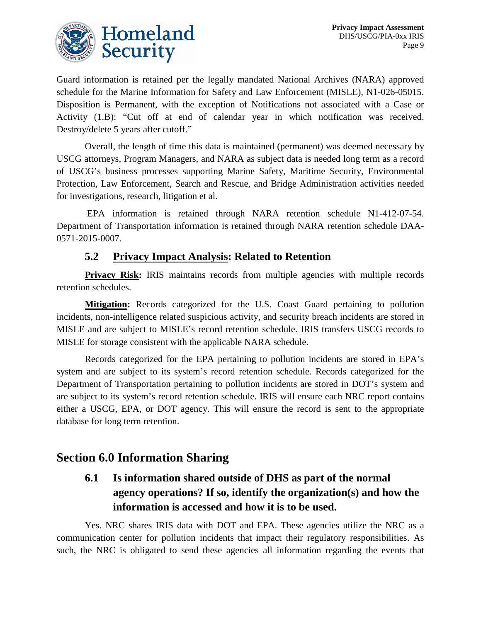

Guard information is retained per the legally mandated National Archives (NARA) approved schedule for the Marine Information for Safety and Law Enforcement (MISLE), N1-026-05015. Disposition is Permanent, with the exception of Notifications not associated with a Case or Activity (1.B): "Cut off at end of calendar year in which notification was received. Destroy/delete 5 years after cutoff."

Overall, the length of time this data is maintained (permanent) was deemed necessary by USCG attorneys, Program Managers, and NARA as subject data is needed long term as a record of USCG's business processes supporting Marine Safety, Maritime Security, Environmental Protection, Law Enforcement, Search and Rescue, and Bridge Administration activities needed for investigations, research, litigation et al.

EPA information is retained through NARA retention schedule N1-412-07-54. Department of Transportation information is retained through NARA retention schedule DAA-0571-2015-0007.

#### **5.2 Privacy Impact Analysis: Related to Retention**

**Privacy Risk:** IRIS maintains records from multiple agencies with multiple records retention schedules.

**Mitigation:** Records categorized for the U.S. Coast Guard pertaining to pollution incidents, non-intelligence related suspicious activity, and security breach incidents are stored in MISLE and are subject to MISLE's record retention schedule. IRIS transfers USCG records to MISLE for storage consistent with the applicable NARA schedule.

Records categorized for the EPA pertaining to pollution incidents are stored in EPA's system and are subject to its system's record retention schedule. Records categorized for the Department of Transportation pertaining to pollution incidents are stored in DOT's system and are subject to its system's record retention schedule. IRIS will ensure each NRC report contains either a USCG, EPA, or DOT agency. This will ensure the record is sent to the appropriate database for long term retention.

#### **Section 6.0 Information Sharing**

## **6.1 Is information shared outside of DHS as part of the normal agency operations? If so, identify the organization(s) and how the information is accessed and how it is to be used.**

Yes. NRC shares IRIS data with DOT and EPA. These agencies utilize the NRC as a communication center for pollution incidents that impact their regulatory responsibilities. As such, the NRC is obligated to send these agencies all information regarding the events that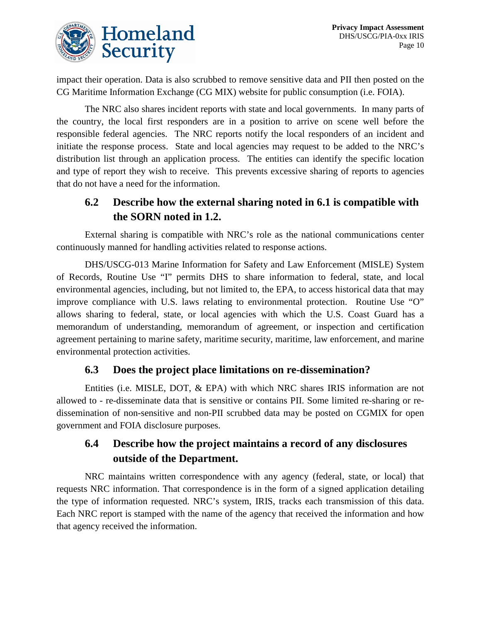

impact their operation. Data is also scrubbed to remove sensitive data and PII then posted on the CG Maritime Information Exchange (CG MIX) website for public consumption (i.e. FOIA).

The NRC also shares incident reports with state and local governments. In many parts of the country, the local first responders are in a position to arrive on scene well before the responsible federal agencies. The NRC reports notify the local responders of an incident and initiate the response process. State and local agencies may request to be added to the NRC's distribution list through an application process. The entities can identify the specific location and type of report they wish to receive. This prevents excessive sharing of reports to agencies that do not have a need for the information.

#### **6.2 Describe how the external sharing noted in 6.1 is compatible with the SORN noted in 1.2.**

External sharing is compatible with NRC's role as the national communications center continuously manned for handling activities related to response actions.

DHS/USCG-013 Marine Information for Safety and Law Enforcement (MISLE) System of Records, Routine Use "I" permits DHS to share information to federal, state, and local environmental agencies, including, but not limited to, the EPA, to access historical data that may improve compliance with U.S. laws relating to environmental protection. Routine Use "O" allows sharing to federal, state, or local agencies with which the U.S. Coast Guard has a memorandum of understanding, memorandum of agreement, or inspection and certification agreement pertaining to marine safety, maritime security, maritime, law enforcement, and marine environmental protection activities.

#### **6.3 Does the project place limitations on re-dissemination?**

Entities (i.e. MISLE, DOT, & EPA) with which NRC shares IRIS information are not allowed to - re-disseminate data that is sensitive or contains PII. Some limited re-sharing or redissemination of non-sensitive and non-PII scrubbed data may be posted on CGMIX for open government and FOIA disclosure purposes.

#### **6.4 Describe how the project maintains a record of any disclosures outside of the Department.**

NRC maintains written correspondence with any agency (federal, state, or local) that requests NRC information. That correspondence is in the form of a signed application detailing the type of information requested. NRC's system, IRIS, tracks each transmission of this data. Each NRC report is stamped with the name of the agency that received the information and how that agency received the information.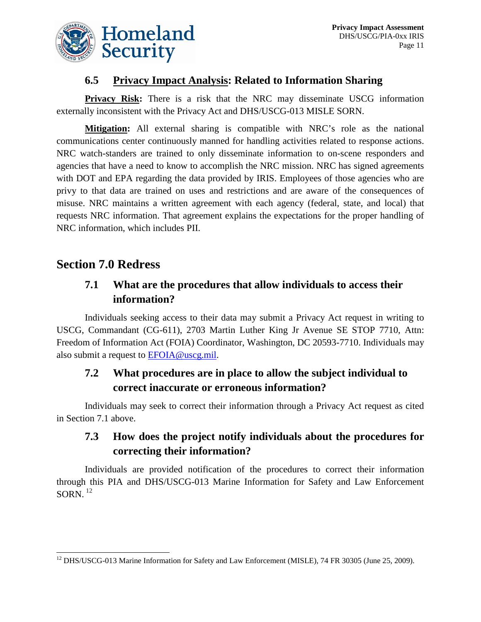

#### **6.5 Privacy Impact Analysis: Related to Information Sharing**

**Privacy Risk:** There is a risk that the NRC may disseminate USCG information externally inconsistent with the Privacy Act and DHS/USCG-013 MISLE SORN.

**Mitigation:** All external sharing is compatible with NRC's role as the national communications center continuously manned for handling activities related to response actions. NRC watch-standers are trained to only disseminate information to on-scene responders and agencies that have a need to know to accomplish the NRC mission. NRC has signed agreements with DOT and EPA regarding the data provided by IRIS. Employees of those agencies who are privy to that data are trained on uses and restrictions and are aware of the consequences of misuse. NRC maintains a written agreement with each agency (federal, state, and local) that requests NRC information. That agreement explains the expectations for the proper handling of NRC information, which includes PII.

## **Section 7.0 Redress**

#### **7.1 What are the procedures that allow individuals to access their information?**

Individuals seeking access to their data may submit a Privacy Act request in writing to USCG, Commandant (CG-611), 2703 Martin Luther King Jr Avenue SE STOP 7710, Attn: Freedom of Information Act (FOIA) Coordinator, Washington, DC 20593-7710. Individuals may also submit a request to [EFOIA@uscg.mil.](mailto:EFOIA@uscg.mil)

#### **7.2 What procedures are in place to allow the subject individual to correct inaccurate or erroneous information?**

Individuals may seek to correct their information through a Privacy Act request as cited in Section 7.1 above.

#### **7.3 How does the project notify individuals about the procedures for correcting their information?**

Individuals are provided notification of the procedures to correct their information through this PIA and DHS/USCG-013 Marine Information for Safety and Law Enforcement  $SORN.$ <sup>[12](#page-11-0)</sup>

<span id="page-11-0"></span><sup>&</sup>lt;sup>12</sup> DHS/USCG-013 Marine Information for Safety and Law Enforcement (MISLE), 74 FR 30305 (June 25, 2009).  $\overline{a}$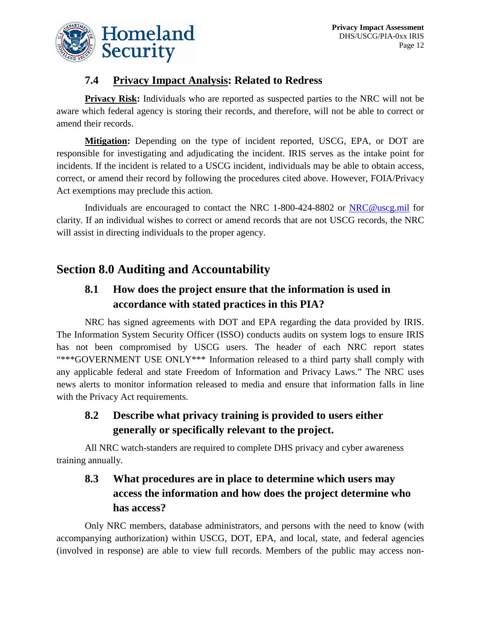

#### **7.4 Privacy Impact Analysis: Related to Redress**

**Privacy Risk:** Individuals who are reported as suspected parties to the NRC will not be aware which federal agency is storing their records, and therefore, will not be able to correct or amend their records.

**Mitigation:** Depending on the type of incident reported, USCG, EPA, or DOT are responsible for investigating and adjudicating the incident. IRIS serves as the intake point for incidents. If the incident is related to a USCG incident, individuals may be able to obtain access, correct, or amend their record by following the procedures cited above. However, FOIA/Privacy Act exemptions may preclude this action.

Individuals are encouraged to contact the NRC 1-800-424-8802 or [NRC@uscg.mil](mailto:NRC@uscg.mil) for clarity. If an individual wishes to correct or amend records that are not USCG records, the NRC will assist in directing individuals to the proper agency.

## **Section 8.0 Auditing and Accountability**

#### **8.1 How does the project ensure that the information is used in accordance with stated practices in this PIA?**

NRC has signed agreements with DOT and EPA regarding the data provided by IRIS. The Information System Security Officer (ISSO) conducts audits on system logs to ensure IRIS has not been compromised by USCG users. The header of each NRC report states "\*\*\*GOVERNMENT USE ONLY\*\*\* Information released to a third party shall comply with any applicable federal and state Freedom of Information and Privacy Laws." The NRC uses news alerts to monitor information released to media and ensure that information falls in line with the Privacy Act requirements.

#### **8.2 Describe what privacy training is provided to users either generally or specifically relevant to the project.**

All NRC watch-standers are required to complete DHS privacy and cyber awareness training annually.

## **8.3 What procedures are in place to determine which users may access the information and how does the project determine who has access?**

Only NRC members, database administrators, and persons with the need to know (with accompanying authorization) within USCG, DOT, EPA, and local, state, and federal agencies (involved in response) are able to view full records. Members of the public may access non-